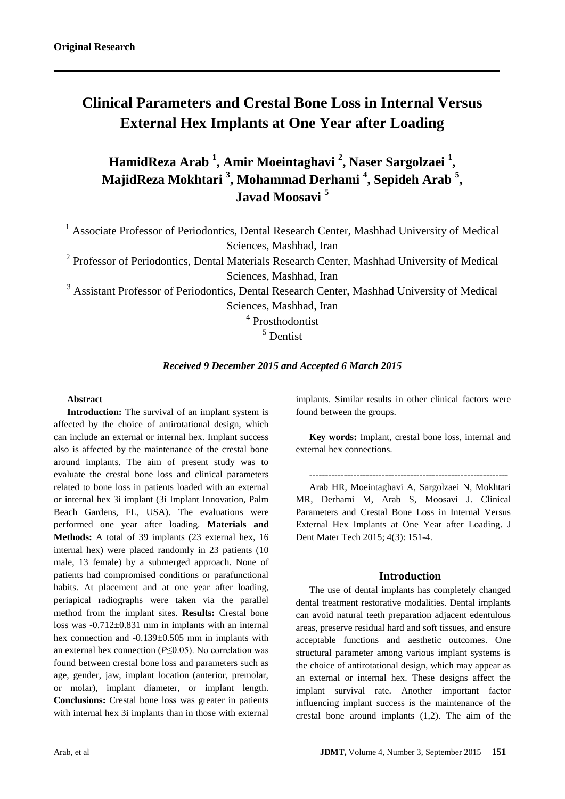# **Clinical Parameters and Crestal Bone Loss in Internal Versus External Hex Implants at One Year after Loading**

**HamidReza Arab <sup>1</sup> , Amir Moeintaghavi <sup>2</sup> , Naser Sargolzaei <sup>1</sup> , MajidReza Mokhtari <sup>3</sup> , Mohammad Derhami <sup>4</sup> , Sepideh Arab <sup>5</sup> , Javad Moosavi <sup>5</sup>**

<sup>1</sup> Associate Professor of Periodontics, Dental Research Center, Mashhad University of Medical Sciences, Mashhad, Iran

<sup>2</sup> Professor of Periodontics, Dental Materials Research Center, Mashhad University of Medical Sciences, Mashhad, Iran

<sup>3</sup> Assistant Professor of Periodontics, Dental Research Center, Mashhad University of Medical Sciences, Mashhad, Iran

4 Prosthodontist

<sup>5</sup> Dentist

### *Received 9 December 2015 and Accepted 6 March 2015*

#### **Abstract**

**Introduction:** The survival of an implant system is affected by the choice of antirotational design, which can include an external or internal hex. Implant success also is affected by the maintenance of the crestal bone around implants. The aim of present study was to evaluate the crestal bone loss and clinical parameters related to bone loss in patients loaded with an external or internal hex 3i implant (3i Implant Innovation, Palm Beach Gardens, FL, USA). The evaluations were performed one year after loading. **Materials and Methods:** A total of 39 implants (23 external hex, 16 internal hex) were placed randomly in 23 patients (10 male, 13 female) by a submerged approach. None of patients had compromised conditions or parafunctional habits. At placement and at one year after loading, periapical radiographs were taken via the parallel method from the implant sites. **Results:** Crestal bone loss was -0.712±0.831 mm in implants with an internal hex connection and -0.139±0.505 mm in implants with an external hex connection (*P*≤0.05). No correlation was found between crestal bone loss and parameters such as age, gender, jaw, implant location (anterior, premolar, or molar), implant diameter, or implant length. **Conclusions:** Crestal bone loss was greater in patients with internal hex 3i implants than in those with external

implants. Similar results in other clinical factors were found between the groups.

**Key words:** Implant, crestal bone loss, internal and external hex connections.

---------------------------------------------------------------

Arab HR, Moeintaghavi A, Sargolzaei N, Mokhtari MR, Derhami M, Arab S, Moosavi J. Clinical Parameters and Crestal Bone Loss in Internal Versus External Hex Implants at One Year after Loading. J Dent Mater Tech 2015; 4(3): 151-4.

#### **Introduction**

The use of dental implants has completely changed dental treatment restorative modalities. Dental implants can avoid natural teeth preparation adjacent edentulous areas, preserve residual hard and soft tissues, and ensure acceptable functions and aesthetic outcomes. One structural parameter among various implant systems is the choice of antirotational design, which may appear as an external or internal hex. These designs affect the implant survival rate. Another important factor influencing implant success is the maintenance of the crestal bone around implants (1,2). The aim of the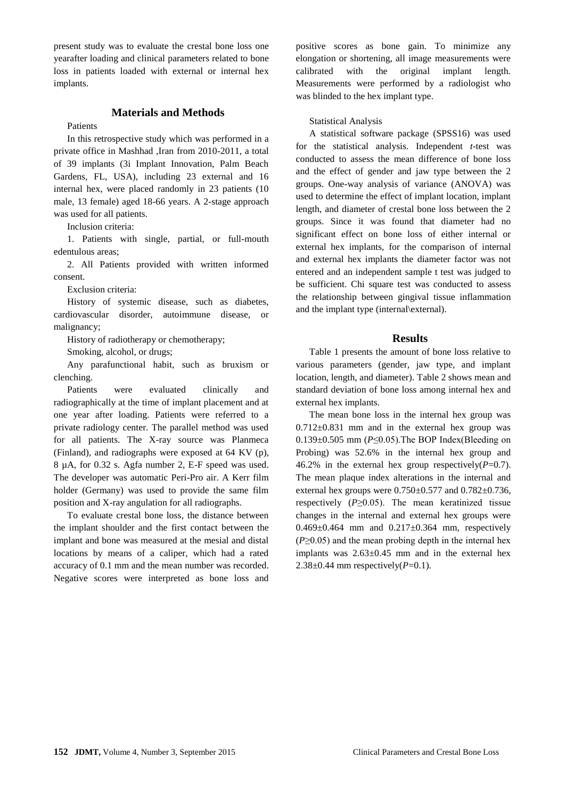present study was to evaluate the crestal bone loss one yearafter loading and clinical parameters related to bone loss in patients loaded with external or internal hex implants.

## **Materials and Methods**

#### Patients

In this retrospective study which was performed in a private office in Mashhad ,Iran from 2010-2011, a total of 39 implants (3i Implant Innovation, Palm Beach Gardens, FL, USA), including 23 external and 16 internal hex, were placed randomly in 23 patients (10 male, 13 female) aged 18-66 years. A 2-stage approach was used for all patients.

Inclusion criteria:

1. Patients with single, partial, or full-mouth edentulous areas;

2. All Patients provided with written informed consent.

Exclusion criteria:

History of systemic disease, such as diabetes, cardiovascular disorder, autoimmune disease, or malignancy;

History of radiotherapy or chemotherapy;

Smoking, alcohol, or drugs;

Any parafunctional habit, such as bruxism or clenching.

Patients were evaluated clinically and radiographically at the time of implant placement and at one year after loading. Patients were referred to a private radiology center. The parallel method was used for all patients. The X-ray source was Planmeca (Finland), and radiographs were exposed at 64 KV (p), 8 µA, for 0.32 s. Agfa number 2, E-F speed was used. The developer was automatic Peri-Pro air. A Kerr film holder (Germany) was used to provide the same film position and X-ray angulation for all radiographs.

To evaluate crestal bone loss, the distance between the implant shoulder and the first contact between the implant and bone was measured at the mesial and distal locations by means of a caliper, which had a rated accuracy of 0.1 mm and the mean number was recorded. Negative scores were interpreted as bone loss and positive scores as bone gain. To minimize any elongation or shortening, all image measurements were calibrated with the original implant length. Measurements were performed by a radiologist who was blinded to the hex implant type.

#### Statistical Analysis

A statistical software package (SPSS16) was used for the statistical analysis. Independent *t*-test was conducted to assess the mean difference of bone loss and the effect of gender and jaw type between the 2 groups. One-way analysis of variance (ANOVA) was used to determine the effect of implant location, implant length, and diameter of crestal bone loss between the 2 groups. Since it was found that diameter had no significant effect on bone loss of either internal or external hex implants, for the comparison of internal and external hex implants the diameter factor was not entered and an independent sample t test was judged to be sufficient. Chi square test was conducted to assess the relationship between gingival tissue inflammation and the implant type (internal\external).

#### **Results**

Table 1 presents the amount of bone loss relative to various parameters (gender, jaw type, and implant location, length, and diameter). Table 2 shows mean and standard deviation of bone loss among internal hex and external hex implants.

The mean bone loss in the internal hex group was  $0.712 \pm 0.831$  mm and in the external hex group was 0.139±0.505 mm (*P*≤0.05).The BOP Index(Bleeding on Probing) was 52.6% in the internal hex group and 46.2% in the external hex group respectively( $P=0.7$ ). The mean plaque index alterations in the internal and external hex groups were  $0.750\pm0.577$  and  $0.782\pm0.736$ , respectively  $(P \ge 0.05)$ . The mean keratinized tissue changes in the internal and external hex groups were  $0.469 \pm 0.464$  mm and  $0.217 \pm 0.364$  mm, respectively  $(P \ge 0.05)$  and the mean probing depth in the internal hex implants was  $2.63\pm0.45$  mm and in the external hex  $2.38\pm0.44$  mm respectively( $P=0.1$ ).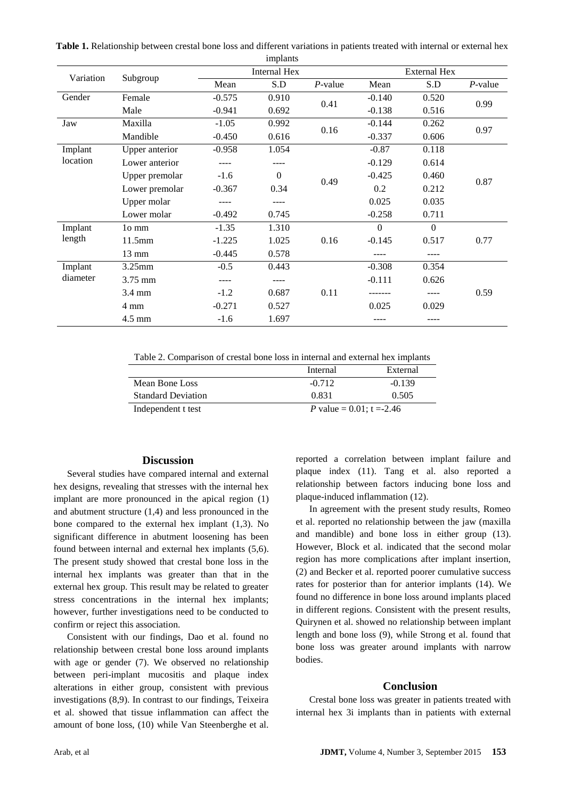**Table 1.** Relationship between crestal bone loss and different variations in patients treated with internal or external hex

|                     |                  |                     | implants |            |                     |          |            |
|---------------------|------------------|---------------------|----------|------------|---------------------|----------|------------|
| Variation           | Subgroup         | <b>Internal Hex</b> |          |            | <b>External Hex</b> |          |            |
|                     |                  | Mean                | S.D      | $P$ -value | Mean                | S.D      | $P$ -value |
| Gender              | Female           | $-0.575$            | 0.910    | 0.41       | $-0.140$            | 0.520    | 0.99       |
|                     | Male             | $-0.941$            | 0.692    |            | $-0.138$            | 0.516    |            |
| Jaw                 | Maxilla          | $-1.05$             | 0.992    | 0.16       | $-0.144$            | 0.262    | 0.97       |
|                     | Mandible         | $-0.450$            | 0.616    |            | $-0.337$            | 0.606    |            |
| Implant             | Upper anterior   | $-0.958$            | 1.054    |            | $-0.87$             | 0.118    |            |
| location            | Lower anterior   |                     |          |            | $-0.129$            | 0.614    |            |
|                     | Upper premolar   | $-1.6$              | $\Omega$ |            | $-0.425$            | 0.460    |            |
|                     | Lower premolar   | $-0.367$            | 0.34     | 0.49       | 0.2                 | 0.212    | 0.87       |
|                     | Upper molar      | ----                | ----     |            | 0.025               | 0.035    |            |
|                     | Lower molar      | $-0.492$            | 0.745    |            | $-0.258$            | 0.711    |            |
| Implant<br>length   | 10 mm            | $-1.35$             | 1.310    | 0.16       | $\Omega$            | $\Omega$ | 0.77       |
|                     | 11.5mm           | $-1.225$            | 1.025    |            | $-0.145$            | 0.517    |            |
|                     | 13 mm            | $-0.445$            | 0.578    |            |                     | ----     |            |
| Implant<br>diameter | 3.25mm           | $-0.5$              | 0.443    |            | $-0.308$            | 0.354    |            |
|                     | 3.75 mm          | $- - - -$           |          |            | $-0.111$            | 0.626    |            |
|                     | $3.4 \text{ mm}$ | $-1.2$              | 0.687    | 0.11       |                     |          | 0.59       |
|                     | 4 mm             | $-0.271$            | 0.527    |            | 0.025               | 0.029    |            |
|                     | 4.5 mm           | $-1.6$              | 1.697    |            | ----                | ----     |            |

Table 2. Comparison of crestal bone loss in internal and external hex implants

|                           | Internal | External                            |  |
|---------------------------|----------|-------------------------------------|--|
| Mean Bone Loss            | $-0.712$ | $-0.139$                            |  |
| <b>Standard Deviation</b> | 0.831    | 0.505                               |  |
| Independent t test        |          | <i>P</i> value = $0.01$ ; t = -2.46 |  |

#### **Discussion**

Several studies have compared internal and external hex designs, revealing that stresses with the internal hex implant are more pronounced in the apical region (1) and abutment structure (1,4) and less pronounced in the bone compared to the external hex implant (1,3). No significant difference in abutment loosening has been found between internal and external hex implants (5,6). The present study showed that crestal bone loss in the internal hex implants was greater than that in the external hex group. This result may be related to greater stress concentrations in the internal hex implants; however, further investigations need to be conducted to confirm or reject this association.

Consistent with our findings, Dao et al. found no relationship between crestal bone loss around implants with age or gender (7). We observed no relationship between peri-implant mucositis and plaque index alterations in either group, consistent with previous investigations (8,9). In contrast to our findings, Teixeira et al. showed that tissue inflammation can affect the amount of bone loss, (10) while Van Steenberghe et al. reported a correlation between implant failure and plaque index (11). Tang et al. also reported a relationship between factors inducing bone loss and plaque-induced inflammation (12).

In agreement with the present study results, Romeo et al. reported no relationship between the jaw (maxilla and mandible) and bone loss in either group (13). However, Block et al. indicated that the second molar region has more complications after implant insertion, (2) and Becker et al. reported poorer cumulative success rates for posterior than for anterior implants (14). We found no difference in bone loss around implants placed in different regions. Consistent with the present results, Quirynen et al. showed no relationship between implant length and bone loss (9), while Strong et al. found that bone loss was greater around implants with narrow bodies.

#### **Conclusion**

Crestal bone loss was greater in patients treated with internal hex 3i implants than in patients with external